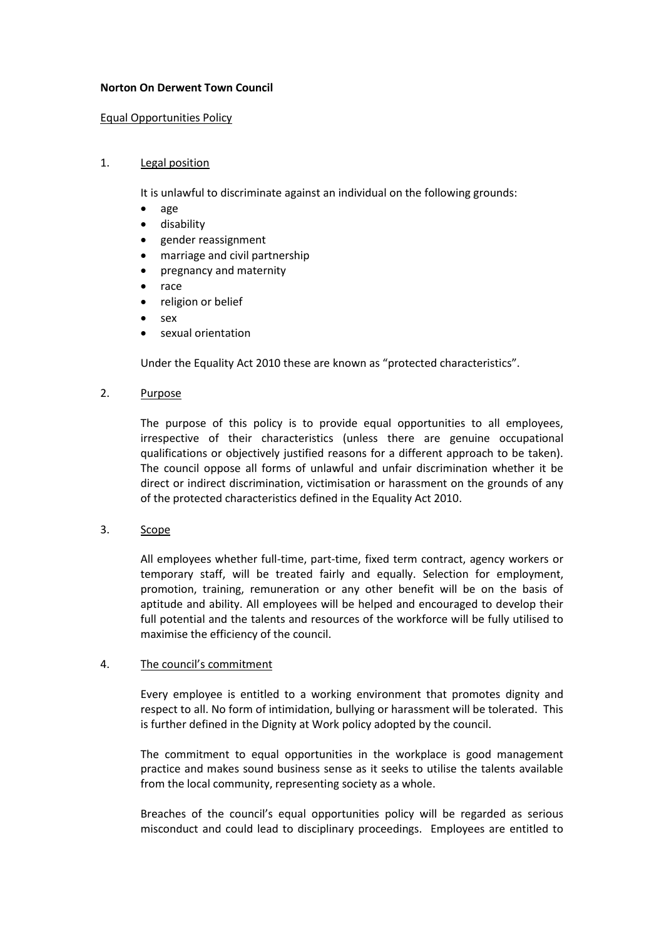#### **Norton On Derwent Town Council**

#### Equal Opportunities Policy

### 1. Legal position

It is unlawful to discriminate against an individual on the following grounds:

- age
- **•** disability
- gender reassignment
- marriage and civil partnership
- pregnancy and maternity
- race
- religion or belief
- sex
- sexual orientation

Under the Equality Act 2010 these are known as "protected characteristics".

# 2. Purpose

The purpose of this policy is to provide equal opportunities to all employees, irrespective of their characteristics (unless there are genuine occupational qualifications or objectively justified reasons for a different approach to be taken). The council oppose all forms of unlawful and unfair discrimination whether it be direct or indirect discrimination, victimisation or harassment on the grounds of any of the protected characteristics defined in the Equality Act 2010.

# 3. Scope

All employees whether full-time, part-time, fixed term contract, agency workers or temporary staff, will be treated fairly and equally. Selection for employment, promotion, training, remuneration or any other benefit will be on the basis of aptitude and ability. All employees will be helped and encouraged to develop their full potential and the talents and resources of the workforce will be fully utilised to maximise the efficiency of the council.

# 4. The council's commitment

Every employee is entitled to a working environment that promotes dignity and respect to all. No form of intimidation, bullying or harassment will be tolerated. This is further defined in the Dignity at Work policy adopted by the council.

The commitment to equal opportunities in the workplace is good management practice and makes sound business sense as it seeks to utilise the talents available from the local community, representing society as a whole.

Breaches of the council's equal opportunities policy will be regarded as serious misconduct and could lead to disciplinary proceedings. Employees are entitled to